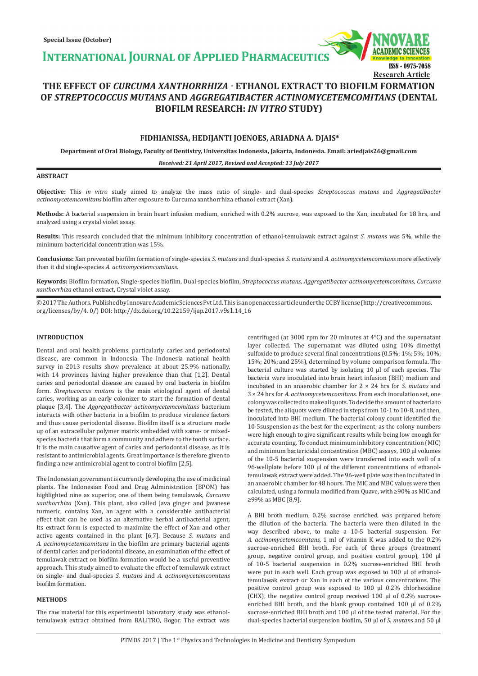**INTERNATIONAL JOURNAL OF APPLIED PHARMACEUTICS** 



# **THE EFFECT OF** *CURCUMA XANTHORRHIZA -* **ETHANOL EXTRACT TO BIOFILM FORMATION OF** *STREPTOCOCCUS MUTANS* **AND** *AGGREGATIBACTER ACTINOMYCETEMCOMITANS* **(DENTAL BIOFILM RESEARCH:** *IN VITRO* **STUDY)**

# **FIDHIANISSA, HEDIJANTI JOENOES, ARIADNA A. DJAIS\***

**Department of Oral Biology, Faculty of Dentistry, Universitas Indonesia, Jakarta, Indonesia. Email: ariedjais26@gmail.com**

*Received: 21 April 2017, Revised and Accepted: 13 July 2017*

## **ABSTRACT**

**Objective:** This *in vitro* study aimed to analyze the mass ratio of single- and dual-species *Streptococcus mutans* and *Aggregatibacter actinomycetemcomitans* biofilm after exposure to Curcuma xanthorrhiza ethanol extract (Xan).

**Methods:** A bacterial suspension in brain heart infusion medium, enriched with 0.2% sucrose, was exposed to the Xan, incubated for 18 hrs, and analyzed using a crystal violet assay.

**Results:** This research concluded that the minimum inhibitory concentration of ethanol-temulawak extract against *S. mutans* was 5%, while the minimum bactericidal concentration was 15%.

**Conclusions:** Xan prevented biofilm formation of single-species *S. mutans* and dual-species *S. mutans* and *A. actinomycetemcomitans* more effectively than it did single-species *A. actinomycetemcomitans.*

**Keywords:** Biofilm formation, Single-species biofilm, Dual-species biofilm, *Streptococcus mutans, Aggregatibacter actinomycetemcomitans, Curcuma xanthorrhiza* ethanol extract, Crystal violet assay.

© 2017 The Authors. Published by Innovare Academic Sciences Pvt Ltd. This is an open access article under the CC BY license (http://creativecommons. org/licenses/by/4. 0/) DOI: http://dx.doi.org/10.22159/ijap.2017.v9s1.14\_16

# **INTRODUCTION**

Dental and oral health problems, particularly caries and periodontal disease, are common in Indonesia. The Indonesia national health survey in 2013 results show prevalence at about 25.9% nationally, with 14 provinces having higher prevalence than that [1,2]. Dental caries and periodontal disease are caused by oral bacteria in biofilm form. *Streptococcus mutans* is the main etiological agent of dental caries, working as an early colonizer to start the formation of dental plaque [3,4]. The *Aggregatibacter actinomycetemcomitans* bacterium interacts with other bacteria in a biofilm to produce virulence factors and thus cause periodontal disease. Biofilm itself is a structure made up of an extracellular polymer matrix embedded with same- or mixedspecies bacteria that form a community and adhere to the tooth surface. It is the main causative agent of caries and periodontal disease, as it is resistant to antimicrobial agents. Great importance is therefore given to finding a new antimicrobial agent to control biofilm [2,5].

The Indonesian government is currently developing the use of medicinal plants. The Indonesian Food and Drug Administration (BPOM) has highlighted nine as superior, one of them being temulawak, *Curcuma xanthorrhiza* (Xan). This plant, also called Java ginger and Javanese turmeric, contains Xan, an agent with a considerable antibacterial effect that can be used as an alternative herbal antibacterial agent. Its extract form is expected to maximize the effect of Xan and other active agents contained in the plant [6,7]. Because *S. mutans* and *A. actinomycetemcomitans* in the biofilm are primary bacterial agents of dental caries and periodontal disease, an examination of the effect of temulawak extract on biofilm formation would be a useful preventive approach. This study aimed to evaluate the effect of temulawak extract on single- and dual-species *S. mutans* and *A. actinomycetemcomitans* biofilm formation.

#### **METHODS**

The raw material for this experimental laboratory study was ethanoltemulawak extract obtained from BALITRO, Bogor. The extract was centrifuged (at 3000 rpm for 20 minutes at 4°C) and the supernatant layer collected. The supernatant was diluted using 10% dimethyl sulfoxide to produce several final concentrations (0.5%; 1%; 5%; 10%; 15%; 20%; and 25%), determined by volume comparison formula. The bacterial culture was started by isolating 10 µl of each species. The bacteria were inoculated into brain heart infusion (BHI) medium and incubated in an anaerobic chamber for 2 × 24 hrs for *S. mutans* and 3 × 24 hrs for *A. actinomycetemcomitans*. From each inoculation set, one colony was collected to make aliquots. To decide the amount of bacteria to be tested, the aliquots were diluted in steps from 10-1 to 10-8, and then, inoculated into BHI medium. The bacterial colony count identified the 10-5suspension as the best for the experiment, as the colony numbers were high enough to give significant results while being low enough for accurate counting. To conduct minimum inhibitory concentration (MIC) and minimum bactericidal concentration (MBC) assays, 100 µl volumes of the 10-5 bacterial suspension were transferred into each well of a 96-wellplate before 100 µl of the different concentrations of ethanoltemulawak extract were added. The 96-well plate was then incubated in an anaerobic chamber for 48 hours. The MIC and MBC values were then calculated, using a formula modified from Quave, with ≥90% as MIC and ≥99% as MBC [8,9].

A BHI broth medium, 0.2% sucrose enriched, was prepared before the dilution of the bacteria. The bacteria were then diluted in the way described above, to make a 10-5 bacterial suspension. For *A. actinomycetemcomitans*, 1 ml of vitamin K was added to the 0.2% sucrose-enriched BHI broth. For each of three groups (treatment group, negative control group, and positive control group), 100 µl of 10-5 bacterial suspension in 0.2% sucrose-enriched BHI broth were put in each well. Each group was exposed to 100 µl of ethanoltemulawak extract or Xan in each of the various concentrations. The positive control group was exposed to 100 µl 0.2% chlorhexidine (CHX), the negative control group received 100 µl of 0.2% sucroseenriched BHI broth, and the blank group contained 100 µl of 0.2% sucrose-enriched BHI broth and 100 µl of the tested material. For the dual-species bacterial suspension biofilm, 50 µl of *S. mutans* and 50 µl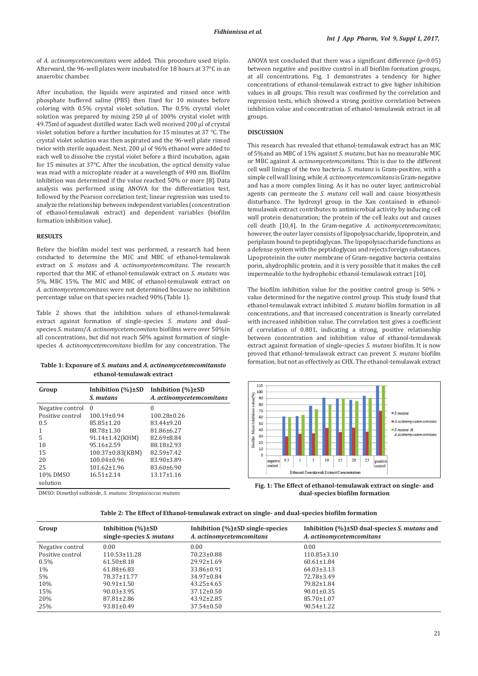of *A. actinomycetemcomitans* were added. This procedure used triplo. Afterward, the 96-well plates were incubated for 18 hours at 37°C in an anaerobic chamber.

After incubation, the liquids were aspirated and rinsed once with phosphate buffered saline (PBS) then fixed for 10 minutes before coloring with 0.5% crystal violet solution. The 0.5% crystal violet solution was prepared by mixing 250 µl of 100% crystal violet with 49.75ml of aquadest distilled water. Each well received 200 µl of crystal violet solution before a further incubation for 15 minutes at 37 °C. The crystal violet solution was then aspirated and the 96-well plate rinsed twice with sterile aquadest. Next, 200 µl of 96% ethanol were added to each well to dissolve the crystal violet before a third incubation, again for 15 minutes at 37°C. After the incubation, the optical density value was read with a microplate reader at a wavelength of 490 nm. Biofilm inhibition was determined if the value reached 50% or more [8]. Data analysis was performed using ANOVA for the differentiation test, followed by the Pearson correlation test; linear regression was used to analyze the relationship between independent variables (concentration of ethanol-temulawak extract) and dependent variables (biofilm formation inhibition value).

## **RESULTS**

Before the biofilm model test was performed, a research had been conducted to determine the MIC and MBC of ethanol-temulawak extract on *S. mutans* and *A. actinomycetemcomitans*. The research reported that the MIC of ethanol-temulawak extract on *S. mutans* was 5%, MBC 15%. The MIC and MBC of ethanol-temulawak extract on *A. actinomycetemcomitans* were not determined because no inhibition percentage value on that species reached 90% (Table 1).

Table 2 shows that the inhibition values of ethanol-temulawak extract against formation of single-species *S. mutans* and dualspecies *S. mutans*/*A. actinomycetemcomitans* biofilms were over 50%in all concentrations, but did not reach 50% against formation of singlespecies *A. actinomycetemcomitans* biofilm for any concentration. The

formation, but not as effectively as CHX. The ethanol-temulawak extract **Table 1: Exposure of** *S. mutans* **and** *A. actinomycetemcomitansto*  **ethanol‑temulawak extract**

| Group            | Inhibition $(\%) \pm SD$<br>S. mutans | Inhibition $(\%) \pm SD$<br>A. actinomycetemcomitans |
|------------------|---------------------------------------|------------------------------------------------------|
| Negative control | $\Omega$                              | 0                                                    |
| Positive control | $100.19\pm0.94$                       | $100.28 \pm 0.26$                                    |
| 0.5              | 85.85±1.20                            | 83.44±9.20                                           |
| 1                | 88.78±1.30                            | 81.86±6.27                                           |
| 5                | $91.14 \pm 1.42$ (KHM)                | 82.69±8.84                                           |
| 10               | $95.16 \pm 2.59$                      | 88.18±2.93                                           |
| 15               | 100.37±0.83(KBM)                      | $82.59 \pm 7.42$                                     |
| 20               | $100.04 \pm 0.96$                     | 83.90±3.89                                           |
| 25               | $101.62 \pm 1.96$                     | $83.60 \pm 6.90$                                     |
| 10% DMSO         | $16.51 \pm 2.14$                      | $13.17 \pm 1.16$                                     |
| solution         |                                       |                                                      |

DMSO: Dimethyl sulfoxide, *S. mutans: Streptococcus mutans*

ANOVA test concluded that there was a significant difference (p<0.05) between negative and positive control in all biofilm formation groups, at all concentrations. Fig. 1 demonstrates a tendency for higher concentrations of ethanol-temulawak extract to give higher inhibition values in all groups. This result was confirmed by the correlation and regression tests, which showed a strong positive correlation between inhibition value and concentration of ethanol-temulawak extract in all groups.

#### **DISCUSSION**

This research has revealed that ethanol-temulawak extract has an MIC of 5%and an MBC of 15% against *S. mutans*, but has no measurable MIC or MBC against *A. actinomycetemcomitans*. This is due to the different cell wall linings of the two bacteria. *S. mutans* is Gram-positive, with a simple cell wall lining, while *A. actinomycetemcomitans* is Gram-negative and has a more complex lining. As it has no outer layer, antimicrobial agents can permeate the *S. mutans* cell wall and cause biosynthesis disturbance. The hydroxyl group in the Xan contained in ethanoltemulawak extract contributes to antimicrobial activity by inducing cell wall protein denaturation; the protein of the cell leaks out and causes cell death [10,4]. In the Gram-negative *A. actinomycetemcomitans*; however, the outer layer consists of lipopolysaccharide, lipoprotein, and periplasm bound to peptidoglycan. The lipopolysaccharide functions as a defense system with the peptidoglycan and rejects foreign substances. Lipoproteinin the outer membrane of Gram-negative bacteria contains porin, ahydrophilic protein, and it is very possible that it makes the cell impermeable to the hydrophobic ethanol-temulawak extract [10].

The biofilm inhibition value for the positive control group is 50% > value determined for the negative control group. This study found that ethanol-temulawak extract inhibited *S. mutans* biofilm formation in all concentrations, and that increased concentration is linearly correlated with increased inhibition value. The correlation test gives a coefficient of correlation of 0.801, indicating a strong, positive relationship between concentration and inhibition value of ethanol-temulawak extract against formation of single-species *S. mutans* biofilm. It is now proved that ethanol-temulawak extract can prevent *S. mutans* biofilm



**Fig. 1: The Effect of ethanol-temulawak extract on single- and dual-species biofilm formation**

**Table 2: The Effect of Ethanol‑temulawak extract on single‑ and dual‑species biofilm formation**

| Group            | Inhibition $(\%)\pm SD$<br>single-species S. mutans | Inhibition $(\%)\pm SD$ single-species<br>A. actinomycetemcomitans | Inhibition $(\% ) \pm SD$ dual-species <i>S. mutans</i> and<br>A. actinomycetemcomitans |
|------------------|-----------------------------------------------------|--------------------------------------------------------------------|-----------------------------------------------------------------------------------------|
| Negative control | 0.00                                                | 0.00                                                               | 0.00                                                                                    |
| Positive control | $110.53 \pm 11.28$                                  | $70.23 \pm 0.88$                                                   | $110.85 \pm 3.10$                                                                       |
| $0.5\%$          | $61.50 \pm 8.18$                                    | $29.92 \pm 1.69$                                                   | $60.61 \pm 1.84$                                                                        |
| $1\%$            | $61.88 \pm 6.83$                                    | 33.86±0.91                                                         | $64.03 \pm 3.13$                                                                        |
| 5%               | 78.37±11.77                                         | $34.97 \pm 0.84$                                                   | 72.78±3.49                                                                              |
| 10%              | $90.91 \pm 1.50$                                    | $43.25 \pm 4.65$                                                   | 79.82±1.84                                                                              |
| 15%              | $90.03 \pm 3.95$                                    | $37.12 \pm 0.50$                                                   | $90.01 \pm 0.35$                                                                        |
| 20%              | $87.81 \pm 2.86$                                    | $43.92 \pm 2.85$                                                   | 85.70±1.07                                                                              |
| 25%              | $93.81 \pm 0.49$                                    | $37.54 \pm 0.50$                                                   | $90.54 \pm 1.22$                                                                        |